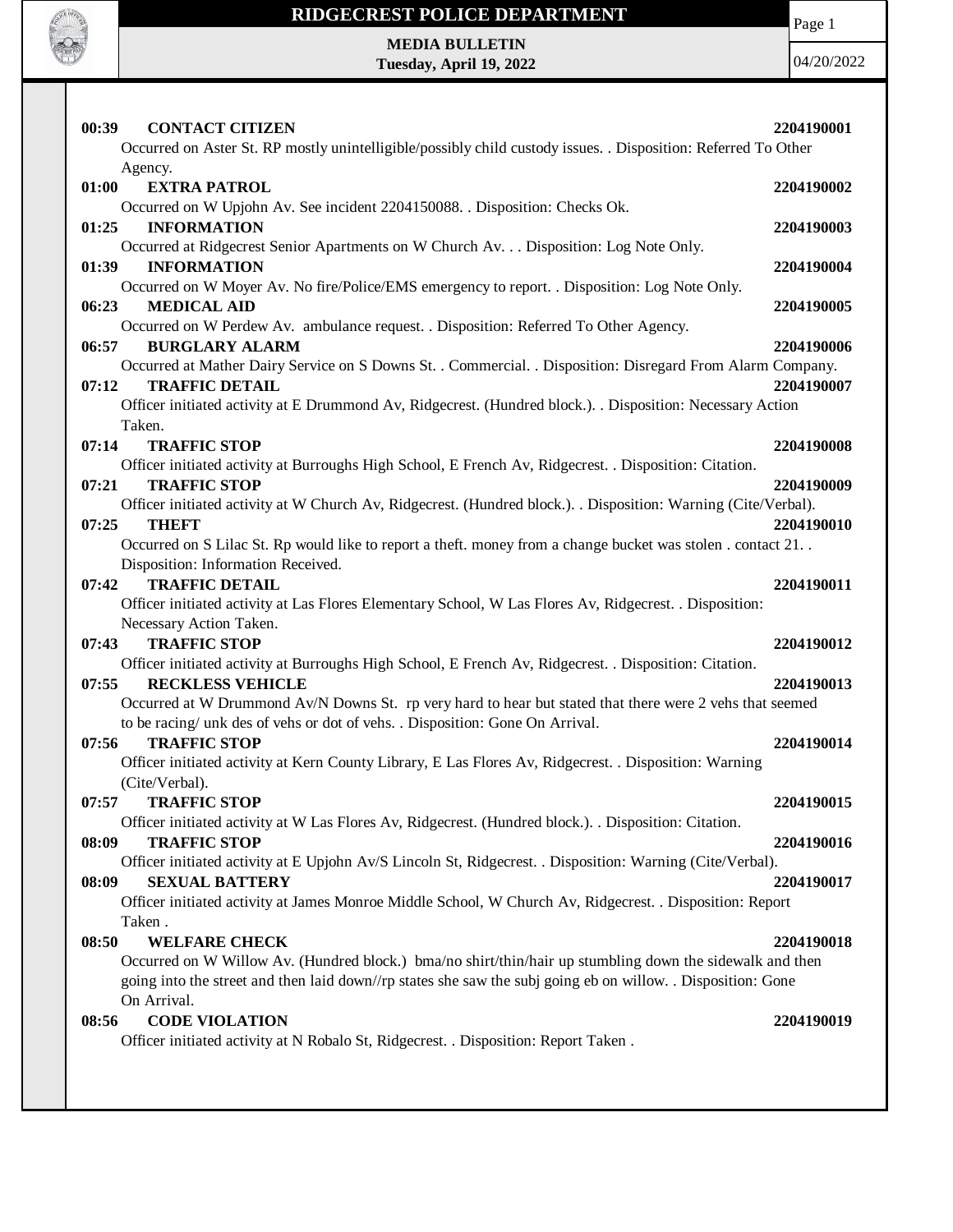

Page 1

**MEDIA BULLETIN Tuesday, April 19, 2022**

| 00:39<br><b>CONTACT CITIZEN</b>                                                                                                  | 2204190001 |
|----------------------------------------------------------------------------------------------------------------------------------|------------|
| Occurred on Aster St. RP mostly unintelligible/possibly child custody issues. . Disposition: Referred To Other                   |            |
| Agency.                                                                                                                          |            |
| 01:00<br><b>EXTRA PATROL</b>                                                                                                     | 2204190002 |
| Occurred on W Upjohn Av. See incident 2204150088. . Disposition: Checks Ok.                                                      |            |
| <b>INFORMATION</b><br>01:25                                                                                                      | 2204190003 |
| Occurred at Ridgecrest Senior Apartments on W Church Av. Disposition: Log Note Only.                                             |            |
| <b>INFORMATION</b><br>01:39                                                                                                      | 2204190004 |
| Occurred on W Moyer Av. No fire/Police/EMS emergency to report. . Disposition: Log Note Only.                                    |            |
| <b>MEDICAL AID</b><br>06:23                                                                                                      | 2204190005 |
| Occurred on W Perdew Av. ambulance request. . Disposition: Referred To Other Agency.                                             |            |
| 06:57<br><b>BURGLARY ALARM</b>                                                                                                   | 2204190006 |
| Occurred at Mather Dairy Service on S Downs St. . Commercial. . Disposition: Disregard From Alarm Company.                       |            |
| <b>TRAFFIC DETAIL</b><br>07:12                                                                                                   | 2204190007 |
| Officer initiated activity at E Drummond Av, Ridgecrest. (Hundred block.). . Disposition: Necessary Action                       |            |
| Taken.                                                                                                                           |            |
| 07:14<br><b>TRAFFIC STOP</b>                                                                                                     | 2204190008 |
| Officer initiated activity at Burroughs High School, E French Av, Ridgecrest. . Disposition: Citation.                           |            |
| <b>TRAFFIC STOP</b><br>07:21                                                                                                     | 2204190009 |
| Officer initiated activity at W Church Av, Ridgecrest. (Hundred block.). Disposition: Warning (Cite/Verbal).                     |            |
| <b>THEFT</b><br>07:25                                                                                                            | 2204190010 |
| Occurred on S Lilac St. Rp would like to report a theft. money from a change bucket was stolen. contact 21                       |            |
| Disposition: Information Received.                                                                                               |            |
| <b>TRAFFIC DETAIL</b><br>07:42                                                                                                   | 2204190011 |
| Officer initiated activity at Las Flores Elementary School, W Las Flores Av, Ridgecrest. . Disposition:                          |            |
| Necessary Action Taken.                                                                                                          |            |
| <b>TRAFFIC STOP</b><br>07:43                                                                                                     | 2204190012 |
| Officer initiated activity at Burroughs High School, E French Av, Ridgecrest. . Disposition: Citation.                           |            |
| 07:55<br><b>RECKLESS VEHICLE</b>                                                                                                 | 2204190013 |
| Occurred at W Drummond Av/N Downs St. rp very hard to hear but stated that there were 2 vehs that seemed                         |            |
| to be racing/ unk des of vehs or dot of vehs. . Disposition: Gone On Arrival.                                                    |            |
| 07:56<br><b>TRAFFIC STOP</b>                                                                                                     | 2204190014 |
| Officer initiated activity at Kern County Library, E Las Flores Av, Ridgecrest. . Disposition: Warning                           |            |
| (Cite/Verbal).                                                                                                                   |            |
| 07:57<br><b>TRAFFIC STOP</b>                                                                                                     | 2204190015 |
| Officer initiated activity at W Las Flores Av, Ridgecrest. (Hundred block.). Disposition: Citation.                              |            |
| <b>TRAFFIC STOP</b><br>08:09                                                                                                     | 2204190016 |
| Officer initiated activity at E Upjohn Av/S Lincoln St, Ridgecrest. . Disposition: Warning (Cite/Verbal).                        |            |
| <b>SEXUAL BATTERY</b><br>08:09                                                                                                   | 2204190017 |
| Officer initiated activity at James Monroe Middle School, W Church Av, Ridgecrest. . Disposition: Report                         |            |
| Taken.                                                                                                                           |            |
| 08:50                                                                                                                            |            |
| <b>WELFARE CHECK</b><br>Occurred on W Willow Av. (Hundred block.) bma/no shirt/thin/hair up stumbling down the sidewalk and then | 2204190018 |
|                                                                                                                                  |            |
| going into the street and then laid down//rp states she saw the subj going eb on willow. . Disposition: Gone<br>On Arrival.      |            |
| <b>CODE VIOLATION</b><br>08:56                                                                                                   | 2204190019 |
| Officer initiated activity at N Robalo St, Ridgecrest. . Disposition: Report Taken.                                              |            |
|                                                                                                                                  |            |
|                                                                                                                                  |            |
|                                                                                                                                  |            |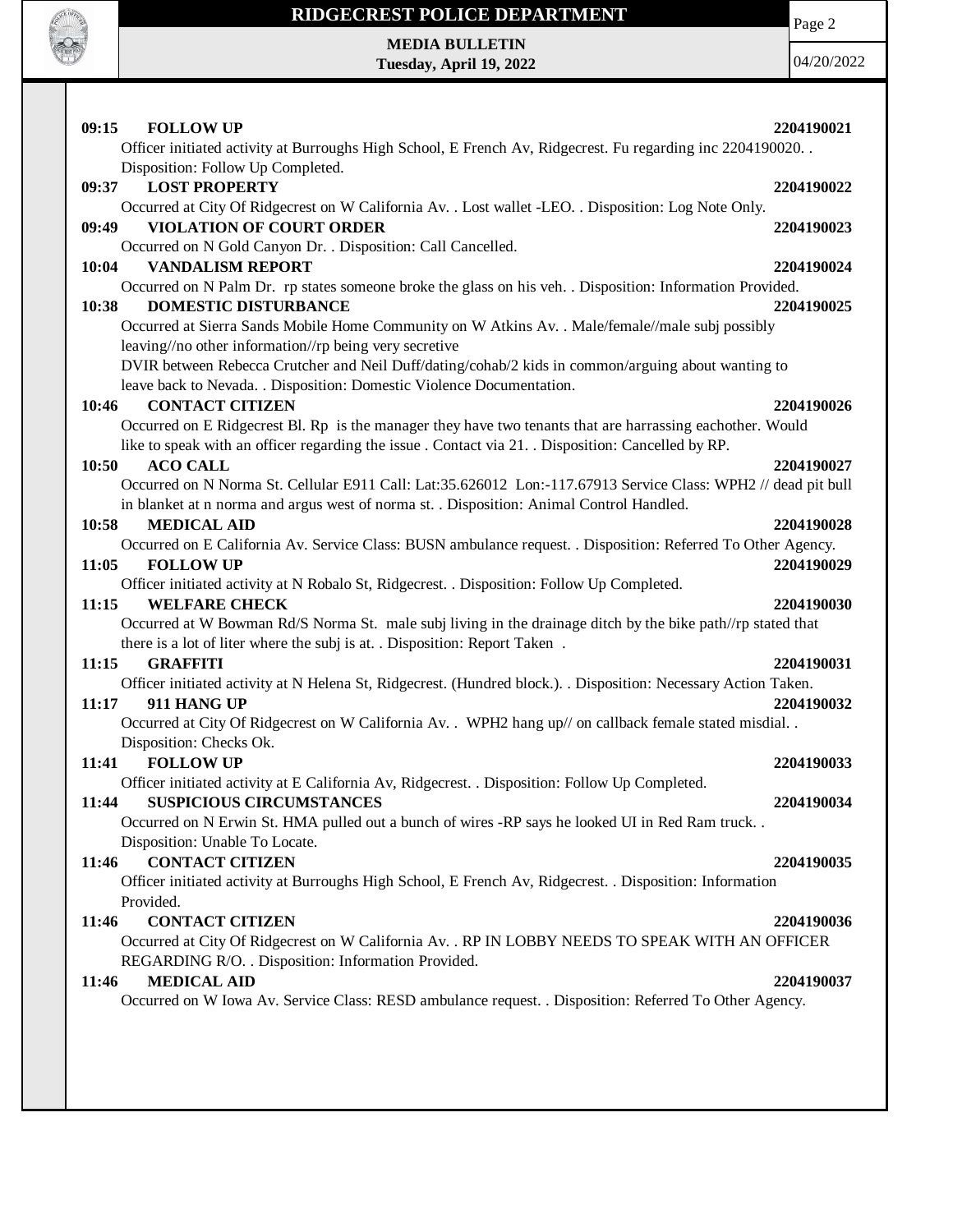

Page 2

**MEDIA BULLETIN Tuesday, April 19, 2022**

| <b>FOLLOW UP</b><br>09:15<br>Officer initiated activity at Burroughs High School, E French Av, Ridgecrest. Fu regarding inc 2204190020.                                                                          | 2204190021 |
|------------------------------------------------------------------------------------------------------------------------------------------------------------------------------------------------------------------|------------|
| Disposition: Follow Up Completed.                                                                                                                                                                                |            |
| <b>LOST PROPERTY</b><br>09:37                                                                                                                                                                                    | 2204190022 |
| Occurred at City Of Ridgecrest on W California Av. . Lost wallet -LEO. . Disposition: Log Note Only.                                                                                                             |            |
| <b>VIOLATION OF COURT ORDER</b><br>09:49                                                                                                                                                                         | 2204190023 |
| Occurred on N Gold Canyon Dr. . Disposition: Call Cancelled.<br><b>VANDALISM REPORT</b><br>10:04                                                                                                                 | 2204190024 |
| Occurred on N Palm Dr. rp states someone broke the glass on his veh. . Disposition: Information Provided.                                                                                                        |            |
| <b>DOMESTIC DISTURBANCE</b><br>10:38                                                                                                                                                                             | 2204190025 |
| Occurred at Sierra Sands Mobile Home Community on W Atkins Av. . Male/female//male subj possibly                                                                                                                 |            |
| leaving//no other information//rp being very secretive                                                                                                                                                           |            |
| DVIR between Rebecca Crutcher and Neil Duff/dating/cohab/2 kids in common/arguing about wanting to                                                                                                               |            |
| leave back to Nevada. . Disposition: Domestic Violence Documentation.                                                                                                                                            |            |
| <b>CONTACT CITIZEN</b><br>10:46                                                                                                                                                                                  | 2204190026 |
| Occurred on E Ridgecrest Bl. Rp is the manager they have two tenants that are harrassing eachother. Would<br>like to speak with an officer regarding the issue . Contact via 21. . Disposition: Cancelled by RP. |            |
| 10:50<br><b>ACO CALL</b>                                                                                                                                                                                         | 2204190027 |
| Occurred on N Norma St. Cellular E911 Call: Lat:35.626012 Lon:-117.67913 Service Class: WPH2 // dead pit bull<br>in blanket at n norma and argus west of norma st. . Disposition: Animal Control Handled.        |            |
| <b>MEDICAL AID</b><br>10:58                                                                                                                                                                                      | 2204190028 |
| Occurred on E California Av. Service Class: BUSN ambulance request. . Disposition: Referred To Other Agency.<br><b>FOLLOW UP</b><br>11:05                                                                        | 2204190029 |
| Officer initiated activity at N Robalo St, Ridgecrest. . Disposition: Follow Up Completed.<br>11:15<br><b>WELFARE CHECK</b>                                                                                      | 2204190030 |
| Occurred at W Bowman Rd/S Norma St. male subj living in the drainage ditch by the bike path//rp stated that                                                                                                      |            |
| there is a lot of liter where the subj is at. . Disposition: Report Taken.                                                                                                                                       |            |
| 11:15<br><b>GRAFFITI</b>                                                                                                                                                                                         | 2204190031 |
| Officer initiated activity at N Helena St, Ridgecrest. (Hundred block.). . Disposition: Necessary Action Taken.                                                                                                  |            |
| 11:17<br>911 HANG UP                                                                                                                                                                                             | 2204190032 |
| Occurred at City Of Ridgecrest on W California Av. . WPH2 hang up// on callback female stated misdial                                                                                                            |            |
| Disposition: Checks Ok.                                                                                                                                                                                          |            |
| <b>FOLLOW UP</b><br>11:41                                                                                                                                                                                        | 2204190033 |
| Officer initiated activity at E California Av, Ridgecrest. . Disposition: Follow Up Completed.                                                                                                                   |            |
| <b>SUSPICIOUS CIRCUMSTANCES</b><br>11:44                                                                                                                                                                         | 2204190034 |
| Occurred on N Erwin St. HMA pulled out a bunch of wires -RP says he looked UI in Red Ram truck<br>Disposition: Unable To Locate.                                                                                 |            |
| <b>CONTACT CITIZEN</b><br>11:46                                                                                                                                                                                  | 2204190035 |
| Officer initiated activity at Burroughs High School, E French Av, Ridgecrest. . Disposition: Information                                                                                                         |            |
| Provided.                                                                                                                                                                                                        |            |
| 11:46<br><b>CONTACT CITIZEN</b>                                                                                                                                                                                  | 2204190036 |
| Occurred at City Of Ridgecrest on W California Av. . RP IN LOBBY NEEDS TO SPEAK WITH AN OFFICER<br>REGARDING R/O. . Disposition: Information Provided.                                                           |            |
| <b>MEDICAL AID</b><br>11:46                                                                                                                                                                                      | 2204190037 |
| Occurred on W Iowa Av. Service Class: RESD ambulance request. . Disposition: Referred To Other Agency.                                                                                                           |            |
|                                                                                                                                                                                                                  |            |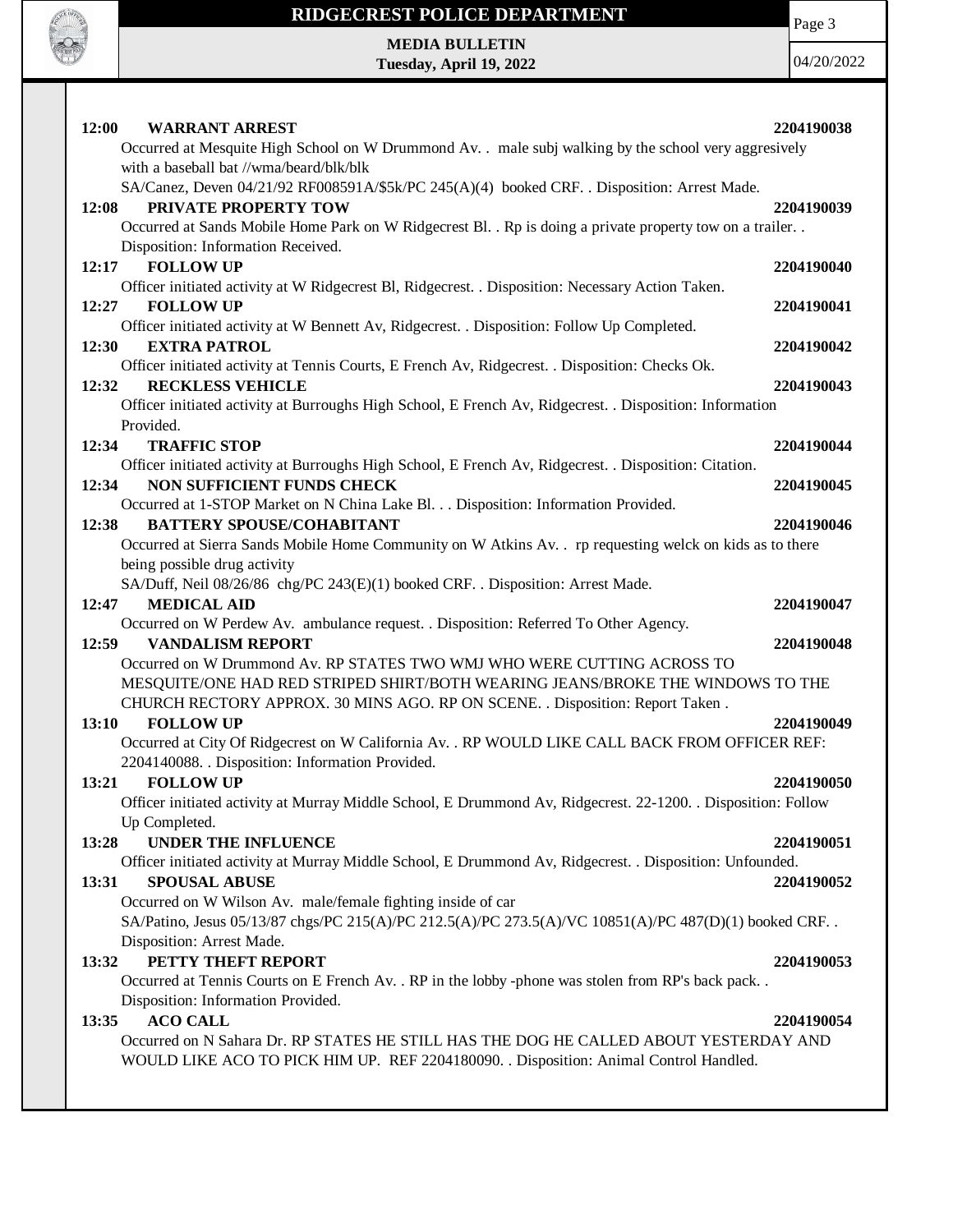

Page 3

**MEDIA BULLETIN Tuesday, April 19, 2022**

| 12:00<br><b>WARRANT ARREST</b><br>Occurred at Mesquite High School on W Drummond Av. . male subj walking by the school very aggresively                                                                                                                                                 | 2204190038               |
|-----------------------------------------------------------------------------------------------------------------------------------------------------------------------------------------------------------------------------------------------------------------------------------------|--------------------------|
| with a baseball bat //wma/beard/blk/blk<br>SA/Canez, Deven 04/21/92 RF008591A/\$5k/PC 245(A)(4) booked CRF. . Disposition: Arrest Made.<br>PRIVATE PROPERTY TOW<br>12:08<br>Occurred at Sands Mobile Home Park on W Ridgecrest Bl. . Rp is doing a private property tow on a trailer. . | 2204190039               |
| Disposition: Information Received.<br><b>FOLLOW UP</b><br>12:17                                                                                                                                                                                                                         | 2204190040               |
| Officer initiated activity at W Ridgecrest Bl, Ridgecrest. . Disposition: Necessary Action Taken.<br>12:27<br><b>FOLLOW UP</b>                                                                                                                                                          | 2204190041               |
| Officer initiated activity at W Bennett Av, Ridgecrest. . Disposition: Follow Up Completed.<br>12:30<br><b>EXTRA PATROL</b>                                                                                                                                                             | 2204190042               |
| Officer initiated activity at Tennis Courts, E French Av, Ridgecrest. . Disposition: Checks Ok.<br>12:32<br><b>RECKLESS VEHICLE</b><br>Officer initiated activity at Burroughs High School, E French Av, Ridgecrest. . Disposition: Information                                         | 2204190043               |
| Provided.<br><b>TRAFFIC STOP</b><br>12:34                                                                                                                                                                                                                                               | 2204190044               |
| Officer initiated activity at Burroughs High School, E French Av, Ridgecrest. . Disposition: Citation.<br>12:34<br>NON SUFFICIENT FUNDS CHECK<br>Occurred at 1-STOP Market on N China Lake Bl. Disposition: Information Provided.                                                       | 2204190045               |
| <b>BATTERY SPOUSE/COHABITANT</b><br>12:38<br>Occurred at Sierra Sands Mobile Home Community on W Atkins Av. . rp requesting welck on kids as to there                                                                                                                                   | 2204190046               |
| being possible drug activity<br>SA/Duff, Neil 08/26/86 chg/PC 243(E)(1) booked CRF. . Disposition: Arrest Made.<br>12:47<br><b>MEDICAL AID</b>                                                                                                                                          | 2204190047               |
| Occurred on W Perdew Av. ambulance request. . Disposition: Referred To Other Agency.<br><b>VANDALISM REPORT</b><br>12:59                                                                                                                                                                | 2204190048               |
| Occurred on W Drummond Av. RP STATES TWO WMJ WHO WERE CUTTING ACROSS TO<br>MESQUITE/ONE HAD RED STRIPED SHIRT/BOTH WEARING JEANS/BROKE THE WINDOWS TO THE<br>CHURCH RECTORY APPROX. 30 MINS AGO. RP ON SCENE. . Disposition: Report Taken.                                              |                          |
| <b>FOLLOW UP</b><br>13:10<br>Occurred at City Of Ridgecrest on W California Av. . RP WOULD LIKE CALL BACK FROM OFFICER REF:                                                                                                                                                             | 2204190049               |
| 2204140088. . Disposition: Information Provided.<br>13:21<br><b>FOLLOW UP</b><br>Officer initiated activity at Murray Middle School, E Drummond Av, Ridgecrest. 22-1200. . Disposition: Follow<br>Up Completed.                                                                         | 2204190050               |
| 13:28<br><b>UNDER THE INFLUENCE</b><br>Officer initiated activity at Murray Middle School, E Drummond Av, Ridgecrest. . Disposition: Unfounded.<br>13:31<br><b>SPOUSAL ABUSE</b>                                                                                                        | 2204190051<br>2204190052 |
| Occurred on W Wilson Av. male/female fighting inside of car<br>SA/Patino, Jesus 05/13/87 chgs/PC 215(A)/PC 212.5(A)/PC 273.5(A)/VC 10851(A)/PC 487(D)(1) booked CRF. .<br>Disposition: Arrest Made.                                                                                     |                          |
| PETTY THEFT REPORT<br>13:32<br>Occurred at Tennis Courts on E French Av. . RP in the lobby -phone was stolen from RP's back pack. .<br>Disposition: Information Provided.                                                                                                               | 2204190053               |
| <b>ACO CALL</b><br>13:35<br>Occurred on N Sahara Dr. RP STATES HE STILL HAS THE DOG HE CALLED ABOUT YESTERDAY AND<br>WOULD LIKE ACO TO PICK HIM UP. REF 2204180090. . Disposition: Animal Control Handled.                                                                              | 2204190054               |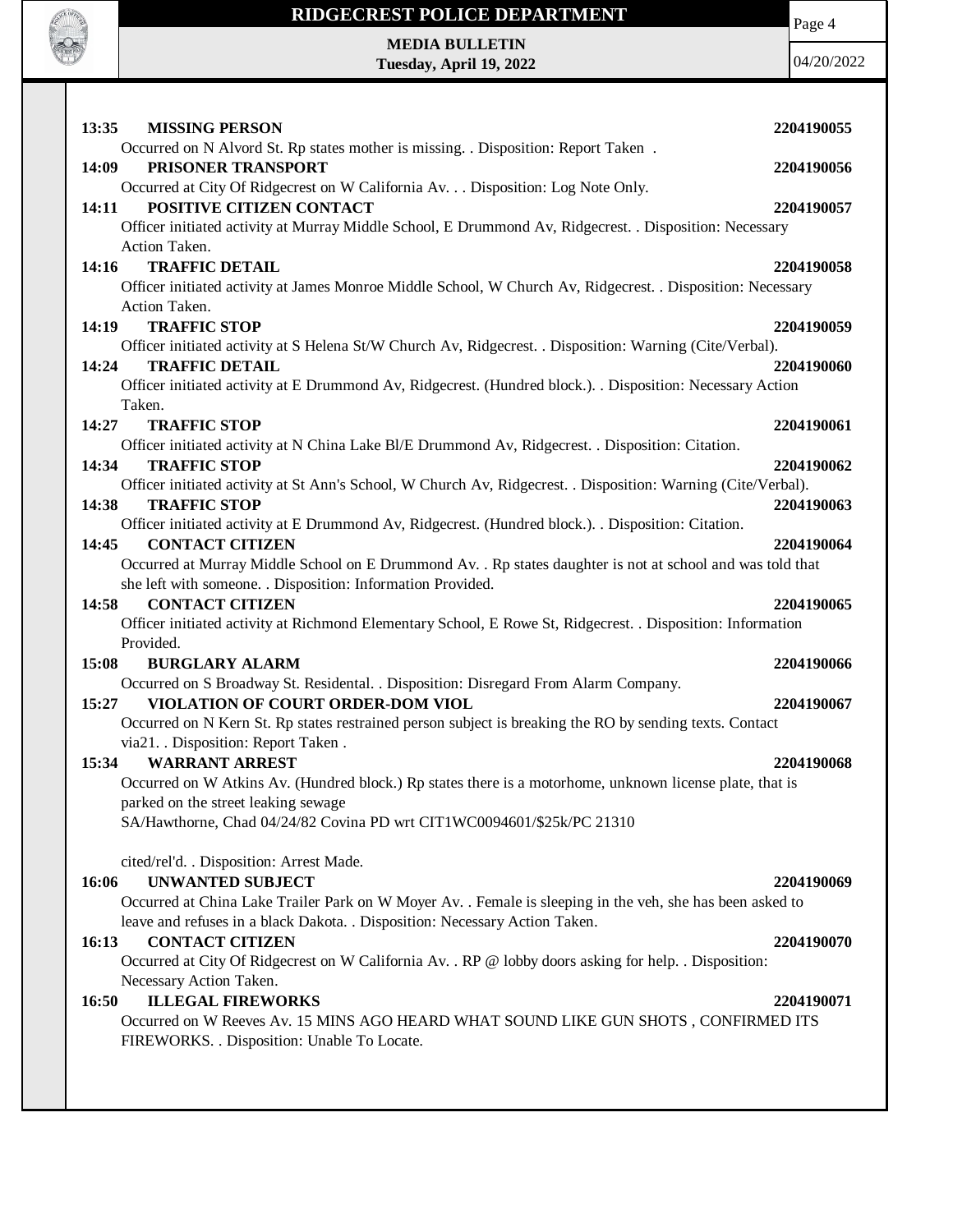

Page 4

**MEDIA BULLETIN Tuesday, April 19, 2022**

| 13:35<br><b>MISSING PERSON</b>                                                                                                                | 2204190055 |
|-----------------------------------------------------------------------------------------------------------------------------------------------|------------|
| Occurred on N Alvord St. Rp states mother is missing. . Disposition: Report Taken.                                                            |            |
| 14:09<br>PRISONER TRANSPORT                                                                                                                   | 2204190056 |
| Occurred at City Of Ridgecrest on W California Av. Disposition: Log Note Only.                                                                |            |
| POSITIVE CITIZEN CONTACT<br>14:11                                                                                                             | 2204190057 |
| Officer initiated activity at Murray Middle School, E Drummond Av, Ridgecrest. . Disposition: Necessary                                       |            |
| Action Taken.<br><b>TRAFFIC DETAIL</b><br>14:16                                                                                               | 2204190058 |
| Officer initiated activity at James Monroe Middle School, W Church Av, Ridgecrest. . Disposition: Necessary                                   |            |
| Action Taken.                                                                                                                                 |            |
| <b>TRAFFIC STOP</b><br>14:19                                                                                                                  | 2204190059 |
| Officer initiated activity at S Helena St/W Church Av, Ridgecrest. . Disposition: Warning (Cite/Verbal).                                      |            |
| <b>TRAFFIC DETAIL</b><br>14:24                                                                                                                | 2204190060 |
| Officer initiated activity at E Drummond Av, Ridgecrest. (Hundred block.). . Disposition: Necessary Action                                    |            |
| Taken.                                                                                                                                        |            |
| 14:27<br><b>TRAFFIC STOP</b>                                                                                                                  | 2204190061 |
| Officer initiated activity at N China Lake Bl/E Drummond Av, Ridgecrest. . Disposition: Citation.                                             |            |
| <b>TRAFFIC STOP</b><br>14:34                                                                                                                  | 2204190062 |
| Officer initiated activity at St Ann's School, W Church Av, Ridgecrest. . Disposition: Warning (Cite/Verbal).<br>14:38<br><b>TRAFFIC STOP</b> | 2204190063 |
| Officer initiated activity at E Drummond Av, Ridgecrest. (Hundred block.). Disposition: Citation.                                             |            |
| <b>CONTACT CITIZEN</b><br>14:45                                                                                                               | 2204190064 |
| Occurred at Murray Middle School on E Drummond Av. . Rp states daughter is not at school and was told that                                    |            |
| she left with someone. . Disposition: Information Provided.                                                                                   |            |
| <b>CONTACT CITIZEN</b><br>14:58                                                                                                               | 2204190065 |
| Officer initiated activity at Richmond Elementary School, E Rowe St, Ridgecrest. . Disposition: Information                                   |            |
| Provided.                                                                                                                                     |            |
| 15:08<br><b>BURGLARY ALARM</b>                                                                                                                | 2204190066 |
| Occurred on S Broadway St. Residental. . Disposition: Disregard From Alarm Company.                                                           |            |
| VIOLATION OF COURT ORDER-DOM VIOL<br>15:27                                                                                                    | 2204190067 |
|                                                                                                                                               |            |
| Occurred on N Kern St. Rp states restrained person subject is breaking the RO by sending texts. Contact                                       |            |
| via21. Disposition: Report Taken.                                                                                                             |            |
| <b>WARRANT ARREST</b><br>15:34                                                                                                                | 2204190068 |
| Occurred on W Atkins Av. (Hundred block.) Rp states there is a motorhome, unknown license plate, that is                                      |            |
| parked on the street leaking sewage                                                                                                           |            |
| SA/Hawthorne, Chad 04/24/82 Covina PD wrt CIT1WC0094601/\$25k/PC 21310                                                                        |            |
| cited/rel'd. . Disposition: Arrest Made.                                                                                                      |            |
| 16:06<br><b>UNWANTED SUBJECT</b>                                                                                                              | 2204190069 |
| Occurred at China Lake Trailer Park on W Moyer Av. . Female is sleeping in the veh, she has been asked to                                     |            |
| leave and refuses in a black Dakota. . Disposition: Necessary Action Taken.                                                                   |            |
| <b>CONTACT CITIZEN</b><br>16:13                                                                                                               | 2204190070 |
| Occurred at City Of Ridgecrest on W California Av. . RP @ lobby doors asking for help. . Disposition:                                         |            |
| Necessary Action Taken.                                                                                                                       |            |
| <b>ILLEGAL FIREWORKS</b><br>16:50                                                                                                             | 2204190071 |
| Occurred on W Reeves Av. 15 MINS AGO HEARD WHAT SOUND LIKE GUN SHOTS, CONFIRMED ITS                                                           |            |
| FIREWORKS. . Disposition: Unable To Locate.                                                                                                   |            |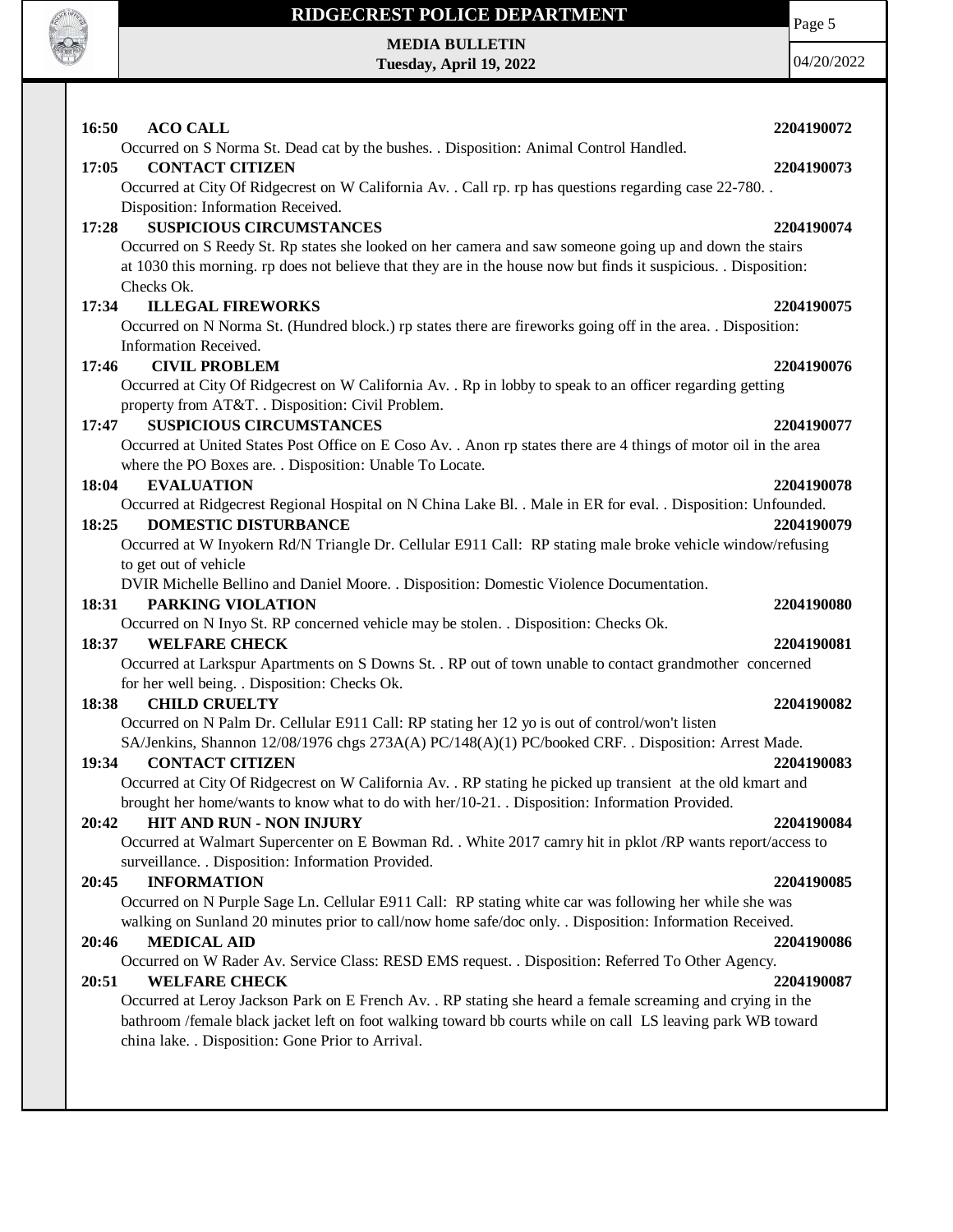

 $\mathbf{I}$ 

### **RIDGECREST POLICE DEPARTMENT**

#### **MEDIA BULLETIN Tuesday, April 19, 2022**

Page 5 04/20/2022

| 16:50<br><b>ACO CALL</b>                                                                                                                                                     | 2204190072 |
|------------------------------------------------------------------------------------------------------------------------------------------------------------------------------|------------|
| Occurred on S Norma St. Dead cat by the bushes. . Disposition: Animal Control Handled.                                                                                       |            |
| <b>CONTACT CITIZEN</b><br>17:05                                                                                                                                              | 2204190073 |
| Occurred at City Of Ridgecrest on W California Av. . Call rp. rp has questions regarding case 22-780. .<br>Disposition: Information Received.                                |            |
| <b>SUSPICIOUS CIRCUMSTANCES</b><br>17:28                                                                                                                                     | 2204190074 |
| Occurred on S Reedy St. Rp states she looked on her camera and saw someone going up and down the stairs                                                                      |            |
| at 1030 this morning. rp does not believe that they are in the house now but finds it suspicious. Disposition:                                                               |            |
| Checks Ok.                                                                                                                                                                   |            |
| <b>ILLEGAL FIREWORKS</b><br>17:34                                                                                                                                            | 2204190075 |
| Occurred on N Norma St. (Hundred block.) rp states there are fireworks going off in the area. . Disposition:                                                                 |            |
| Information Received.                                                                                                                                                        |            |
| <b>CIVIL PROBLEM</b><br>17:46                                                                                                                                                | 2204190076 |
| Occurred at City Of Ridgecrest on W California Av. . Rp in lobby to speak to an officer regarding getting                                                                    |            |
| property from AT&T. . Disposition: Civil Problem.                                                                                                                            |            |
| <b>SUSPICIOUS CIRCUMSTANCES</b><br>17:47                                                                                                                                     | 2204190077 |
| Occurred at United States Post Office on E Coso Av. . Anon rp states there are 4 things of motor oil in the area<br>where the PO Boxes are. . Disposition: Unable To Locate. |            |
| <b>EVALUATION</b><br>18:04                                                                                                                                                   | 2204190078 |
| Occurred at Ridgecrest Regional Hospital on N China Lake Bl. . Male in ER for eval. . Disposition: Unfounded.                                                                |            |
| <b>DOMESTIC DISTURBANCE</b><br>18:25                                                                                                                                         | 2204190079 |
| Occurred at W Inyokern Rd/N Triangle Dr. Cellular E911 Call: RP stating male broke vehicle window/refusing                                                                   |            |
| to get out of vehicle                                                                                                                                                        |            |
| DVIR Michelle Bellino and Daniel Moore. . Disposition: Domestic Violence Documentation.                                                                                      |            |
| 18:31<br>PARKING VIOLATION                                                                                                                                                   | 2204190080 |
| Occurred on N Inyo St. RP concerned vehicle may be stolen. . Disposition: Checks Ok.                                                                                         |            |
| <b>WELFARE CHECK</b><br>18:37                                                                                                                                                | 2204190081 |
| Occurred at Larkspur Apartments on S Downs St. . RP out of town unable to contact grandmother concerned                                                                      |            |
| for her well being. . Disposition: Checks Ok.<br>18:38<br><b>CHILD CRUELTY</b>                                                                                               | 2204190082 |
| Occurred on N Palm Dr. Cellular E911 Call: RP stating her 12 yo is out of control/won't listen                                                                               |            |
| SA/Jenkins, Shannon 12/08/1976 chgs 273A(A) PC/148(A)(1) PC/booked CRF. . Disposition: Arrest Made.                                                                          |            |
| <b>CONTACT CITIZEN</b><br>19:34                                                                                                                                              | 2204190083 |
| Occurred at City Of Ridgecrest on W California Av. . RP stating he picked up transient at the old kmart and                                                                  |            |
| brought her home/wants to know what to do with her/10-21. . Disposition: Information Provided.                                                                               |            |
| HIT AND RUN - NON INJURY<br>20:42                                                                                                                                            | 2204190084 |
| Occurred at Walmart Supercenter on E Bowman Rd. . White 2017 camry hit in pklot /RP wants report/access to                                                                   |            |
| surveillance. . Disposition: Information Provided.                                                                                                                           |            |
| 20:45<br><b>INFORMATION</b>                                                                                                                                                  | 2204190085 |
| Occurred on N Purple Sage Ln. Cellular E911 Call: RP stating white car was following her while she was                                                                       |            |
| walking on Sunland 20 minutes prior to call/now home safe/doc only. . Disposition: Information Received.                                                                     |            |
| <b>MEDICAL AID</b><br>20:46<br>Occurred on W Rader Av. Service Class: RESD EMS request. . Disposition: Referred To Other Agency.                                             | 2204190086 |
| 20:51<br><b>WELFARE CHECK</b>                                                                                                                                                | 2204190087 |
| Occurred at Leroy Jackson Park on E French Av. . RP stating she heard a female screaming and crying in the                                                                   |            |
| bathroom /female black jacket left on foot walking toward bb courts while on call LS leaving park WB toward                                                                  |            |
| china lake. . Disposition: Gone Prior to Arrival.                                                                                                                            |            |
|                                                                                                                                                                              |            |